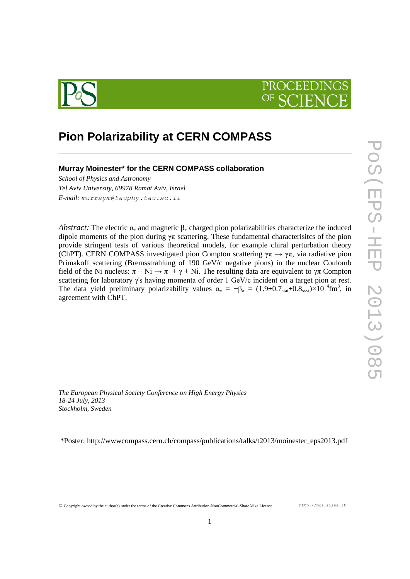



# **Pion Polarizability at CERN COMPASS**

## **Murray Moinester\* for the CERN COMPASS collaboration**

*School of Physics and Astronomy Tel Aviv University, 69978 Ramat Aviv, Israel E-mail: murraym@tauphy.tau.ac.il*

*Abstract:* The electric  $\alpha_{\pi}$  and magnetic  $\beta_{\pi}$  charged pion polarizabilities characterize the induced dipole moments of the pion during  $\gamma \pi$  scattering. These fundamental characterisites of the pion provide stringent tests of various theoretical models, for example chiral perturbation theory (ChPT). CERN COMPASS investigated pion Compton scattering  $\gamma \pi \rightarrow \gamma \pi$ , via radiative pion Primakoff scattering (Bremsstrahlung of 190 GeV/c negative pions) in the nuclear Coulomb field of the Ni nucleus:  $\pi + Ni \rightarrow \pi + \gamma + Ni$ . The resulting data are equivalent to  $\gamma \pi$  Compton scattering for laboratory γ's having momenta of order 1 GeV/c incident on a target pion at rest. The data yield preliminary polarizability values  $\alpha_{\pi} = -\beta_{\pi} = (1.9 \pm 0.7 \text{stat} \pm 0.8 \text{syst}) \times 10^{-4} \text{fm}^3$ , in agreement with ChPT.

*The European Physical Society Conference on High Energy Physics 18-24 July, 2013 Stockholm, Sweden*

\*Poster: [http://wwwcompass.cern.ch/compass/publications/talks/t2013/moinester\\_eps2013.pdf](http://wwwcompass.cern.ch/compass/publications/talks/t2013/moinester_eps2013.pdf)

Copyright owned by the author(s) under the terms of the Creative Commons Attribution-NonCommercial-ShareAlike Licence. http://pos.sissa.it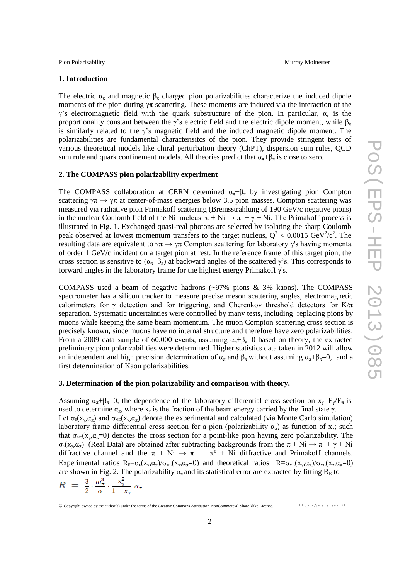Pion Polarizability **Murray Moinester** Murray Moinester

#### **1. Introduction**

The electric  $\alpha_{\pi}$  and magnetic  $\beta_{\pi}$  charged pion polarizabilities characterize the induced dipole moments of the pion during  $\gamma \pi$  scattering. These moments are induced via the interaction of the γ's electromagnetic field with the quark substructure of the pion. In particular,  $α_π$  is the proportionality constant between the  $\gamma$ 's electric field and the electric dipole moment, while  $\beta_{\pi}$ is similarly related to the  $\gamma$ 's magnetic field and the induced magnetic dipole moment. The polarizabilities are fundamental characterisitcs of the pion. They provide stringent tests of various theoretical models like chiral perturbation theory (ChPT), dispersion sum rules, QCD sum rule and quark confinement models. All theories predict that  $\alpha_{\pi}+\beta_{\pi}$  is close to zero.

#### **2. The COMPASS pion polarizability experiment**

The COMPASS collaboration at CERN detemined  $\alpha_{\pi}-\beta_{\pi}$  by investigating pion Compton scattering  $\gamma \pi \to \gamma \pi$  at center-of-mass energies below 3.5 pion masses. Compton scattering was measured via radiative pion Primakoff scattering (Bremsstrahlung of 190 GeV/c negative pions) in the nuclear Coulomb field of the Ni nucleus:  $\pi + Ni \rightarrow \pi + \gamma + Ni$ . The Primakoff process is illustrated in Fig. 1. Exchanged quasi-real photons are selected by isolating the sharp Coulomb peak observed at lowest momentum transfers to the target nucleus,  $Q^2 < 0.0015 \text{ GeV}^2/c^2$ . The resulting data are equivalent to  $\gamma \pi \rightarrow \gamma \pi$  Compton scattering for laboratory  $\gamma$ 's having momenta of order 1 GeV/c incident on a target pion at rest. In the reference frame of this target pion, the cross section is sensitive to  $(\alpha_{\pi} - \beta_{\pi})$  at backward angles of the scattered  $\gamma$ 's. This corresponds to forward angles in the laboratory frame for the highest energy Primakoff γ's.

COMPASS used a beam of negative hadrons (~97% pions & 3% kaons). The COMPASS spectrometer has a silicon tracker to measure precise meson scattering angles, electromagnetic calorimeters for γ detection and for triggering, and Cherenkov threshold detectors for K/ $\pi$ separation. Systematic uncertainties were controlled by many tests, including replacing pions by muons while keeping the same beam momentum. The muon Compton scattering cross section is precisely known, since muons have no internal structure and therefore have zero polarizabilities. From a 2009 data sample of 60,000 events, assuming  $\alpha_{\pi}+\beta_{\pi}=0$  based on theory, the extracted preliminary pion polarizabilities were determined. Higher statistics data taken in 2012 will allow an independent and high precision determination of  $\alpha_{\pi}$  and  $\beta_{\pi}$  without assuming  $\alpha_{\pi}+\beta_{\pi}=0$ , and a first determination of Kaon polarizabilities.

### **3. Determination of the pion polarizability and comparison with theory.**

Assuming  $\alpha_{\pi}+\beta_{\pi}=0$ , the dependence of the laboratory differential cross section on  $x_{\gamma}=E_{\gamma}/E_{\pi}$  is used to determine  $\alpha_{\pi}$ , where  $x_{\gamma}$  is the fraction of the beam energy carried by the final state  $\gamma$ . Let  $\sigma_{E}(x_{\gamma}, \alpha_{\pi})$  and  $\sigma_{MC}(x_{\gamma}, \alpha_{\pi})$  denote the experimental and calculated (via Monte Carlo simulation) laboratory frame differential cross section for a pion (polarizability  $\alpha_{\pi}$ ) as function of  $x_{\gamma}$ ; such that  $\sigma_{MC}(x_{\gamma}, \alpha_{\pi}=0)$  denotes the cross section for a point-like pion having zero polarizability. The  $\sigma_E(x_\gamma, \alpha_\pi)$  (Real Data) are obtained after subtracting backgrounds from the  $\pi + Ni \rightarrow \pi + \gamma + Ni$ diffractive channel and the  $\pi + Ni \rightarrow \pi + \pi^{0} + Ni$  diffractive and Primakoff channels. Experimental ratios  $R_E = \sigma_E(x_\gamma, \alpha_\pi)/\sigma_{MC}(x_\gamma, \alpha_\pi = 0)$  and theoretical ratios  $R = \sigma_{MC}(x_\gamma, \alpha_\pi)/\sigma_{MC}(x_\gamma, \alpha_\pi = 0)$ are shown in Fig. 2. The polarizability  $\alpha_{\pi}$  and its statistical error are extracted by fitting  $R_{E}$  to

$$
R = \frac{3}{2} \cdot \frac{m_{\pi}^{3}}{\alpha} \cdot \frac{x_{\gamma}^{2}}{1 - x_{\gamma}} \alpha_{\pi}
$$

Copyright owned by the author(s) under the terms of the Creative Commons Attribution-NonCommercial-ShareAlike Licence. http://pos.sissa.it